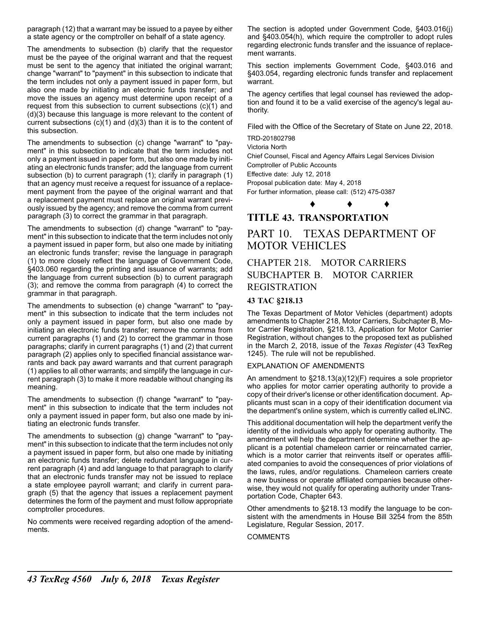paragraph (12) that a warrant may be issued to a payee by either a state agency or the comptroller on behalf of a state agency.

The amendments to subsection (b) clarify that the requestor must be the payee of the original warrant and that the request must be sent to the agency that initiated the original warrant; change "warrant" to "payment" in this subsection to indicate that the term includes not only a payment issued in paper form, but also one made by initiating an electronic funds transfer; and move the issues an agency must determine upon receipt of a request from this subsection to current subsections (c)(1) and (d)(3) because this language is more relevant to the content of current subsections  $(c)(1)$  and  $(d)(3)$  than it is to the content of this subsection.

The amendments to subsection (c) change "warrant" to "payment" in this subsection to indicate that the term includes not only a payment issued in paper form, but also one made by initiating an electronic funds transfer; add the language from current subsection (b) to current paragraph (1); clarify in paragraph (1) that an agency must receive a request for issuance of a replacement payment from the payee of the original warrant and that a replacement payment must replace an original warrant previously issued by the agency; and remove the comma from current paragraph (3) to correct the grammar in that paragraph.

The amendments to subsection (d) change "warrant" to "payment" in this subsection to indicate that the term includes not only a payment issued in paper form, but also one made by initiating an electronic funds transfer; revise the language in paragraph (1) to more closely reflect the language of Government Code, §403.060 regarding the printing and issuance of warrants; add the language from current subsection (b) to current paragraph (3); and remove the comma from paragraph (4) to correct the grammar in that paragraph.

The amendments to subsection (e) change "warrant" to "payment" in this subsection to indicate that the term includes not only a payment issued in paper form, but also one made by initiating an electronic funds transfer; remove the comma from current paragraphs (1) and (2) to correct the grammar in those paragraphs; clarify in current paragraphs (1) and (2) that current paragraph (2) applies only to specified financial assistance warrants and back pay award warrants and that current paragraph (1) applies to all other warrants; and simplify the language in current paragraph (3) to make it more readable without changing its meaning.

The amendments to subsection (f) change "warrant" to "payment" in this subsection to indicate that the term includes not only a payment issued in paper form, but also one made by initiating an electronic funds transfer.

The amendments to subsection (g) change "warrant" to "payment" in this subsection to indicate that the term includes not only a payment issued in paper form, but also one made by initiating an electronic funds transfer; delete redundant language in current paragraph (4) and add language to that paragraph to clarify that an electronic funds transfer may not be issued to replace a state employee payroll warrant; and clarify in current paragraph (5) that the agency that issues a replacement payment determines the form of the payment and must follow appropriate comptroller procedures.

No comments were received regarding adoption of the amendments.

The section is adopted under Government Code, §403.016(j) and §403.054(h), which require the comptroller to adopt rules regarding electronic funds transfer and the issuance of replacement warrants.

This section implements Government Code, §403.016 and §403.054, regarding electronic funds transfer and replacement warrant.

The agency certifies that legal counsel has reviewed the adoption and found it to be a valid exercise of the agency's legal authority.

Filed with the Office of the Secretary of State on June 22, 2018.

TRD-201802798

Victoria North

Chief Counsel, Fiscal and Agency Affairs Legal Services Division Comptroller of Public Accounts

Effective date: July 12, 2018

Proposal publication date: May 4, 2018 For further information, please call: (512) 475-0387

♦ ♦ ♦

## **TITLE 43. TRANSPORTATION**

# PART 10. TEXAS DEPARTMENT OF MOTOR VEHICLES

## CHAPTER 218. MOTOR CARRIERS SUBCHAPTER B. MOTOR CARRIER REGISTRATION

## **43 TAC §218.13**

The Texas Department of Motor Vehicles (department) adopts amendments to Chapter 218, Motor Carriers, Subchapter B, Motor Carrier Registration, §218.13, Application for Motor Carrier Registration, without changes to the proposed text as published in the March 2, 2018, issue of the *Texas Register* (43 TexReg 1245). The rule will not be republished.

#### EXPLANATION OF AMENDMENTS

An amendment to §218.13(a)(12)(F) requires a sole proprietor who applies for motor carrier operating authority to provide a copy of their driver's license or other identification document. Applicants must scan in a copy of their identification document via the department's online system, which is currently called eLINC.

This additional documentation will help the department verify the identity of the individuals who apply for operating authority. The amendment will help the department determine whether the applicant is a potential chameleon carrier or reincarnated carrier, which is a motor carrier that reinvents itself or operates affiliated companies to avoid the consequences of prior violations of the laws, rules, and/or regulations. Chameleon carriers create a new business or operate affiliated companies because otherwise, they would not qualify for operating authority under Transportation Code, Chapter 643.

Other amendments to §218.13 modify the language to be consistent with the amendments in House Bill 3254 from the 85th Legislature, Regular Session, 2017.

#### COMMENTS